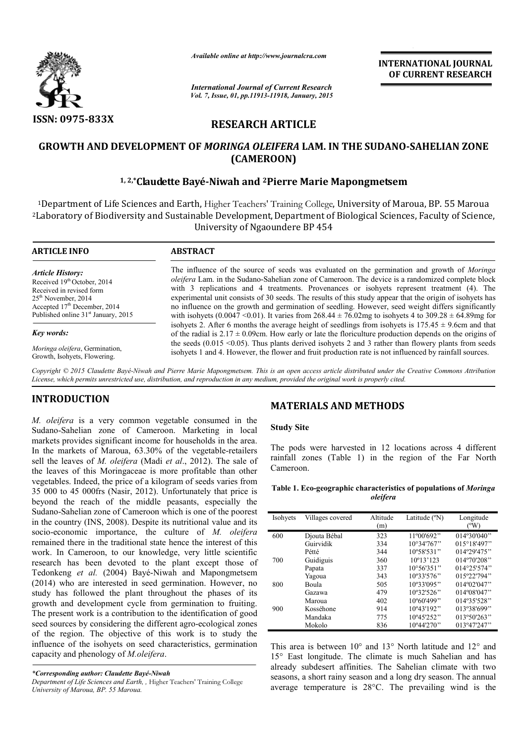

*Available online at http://www.journalcra.com*

**INTERNATIONAL JOURNAL OF CURRENT RESEARCH** 

*International Journal of Current Research Vol. 7, Issue, 01, pp.11913-11918, January, 2015*

# **RESEARCH ARTICLE**

## **GROWTH AND DEVELOPMENT OF** *MORINGA OLEIFERA* **LAM. IN THE SUDANO-SAHELIAN ZONE (CAMEROON)**

## **1, 2,\*Claudette Bayé-Niwah and 2Pierre Marie Mapongmetsem**

1Department of Life Sciences and Earth, Higher Teachers' Training College, University of Maroua, BP. 55 Maroua 2Laboratory of Biodiversity and Sustainable Development,Department of Biological Sciences, Faculty of Science, University of Ngaoundere BP 454

| <b>ARTICLE INFO</b>                                                                                                                                                                       | <b>ABSTRACT</b>                                                                                                                                                                                                                                                                                                                                                                                                                                                                                                                                                                                                                               |
|-------------------------------------------------------------------------------------------------------------------------------------------------------------------------------------------|-----------------------------------------------------------------------------------------------------------------------------------------------------------------------------------------------------------------------------------------------------------------------------------------------------------------------------------------------------------------------------------------------------------------------------------------------------------------------------------------------------------------------------------------------------------------------------------------------------------------------------------------------|
| Article History:<br>Received 19th October, 2014<br>Received in revised form<br>$25th$ November, 2014<br>Accepted $17th$ December, 2014<br>Published online 31 <sup>st</sup> January, 2015 | The influence of the source of seeds was evaluated on the germination and growth of <i>Moringa</i><br><i>oleifera</i> Lam, in the Sudano-Sahelian zone of Cameroon. The device is a randomized complete block<br>with 3 replications and 4 treatments. Provenances or isolyets represent treatment (4). The<br>experimental unit consists of 30 seeds. The results of this study appear that the origin of isolyets has<br>no influence on the growth and germination of seedling. However, seed weight differs significantly<br>with isohyets (0.0047 < 0.01). It varies from 268.44 $\pm$ 76.02mg to isohyets 4 to 309.28 $\pm$ 64.89mg for |
| Key words:                                                                                                                                                                                | isolyets 2. After 6 months the average height of seedlings from isolyets is $175.45 \pm 9.6$ cm and that<br>of the radial is $2.17 \pm 0.09$ cm. How early or late the floriculture production depends on the origins of                                                                                                                                                                                                                                                                                                                                                                                                                      |

*Moringa oleifera*, Germination, Growth, Isohyets, Flowering.

*Copyright © 2015 Claudette Bayé-Niwah and Pierre Marie Mapongmetsem. This is an open access article distributed under the Creative Commons Attribution License, which permits unrestricted use, distribution, and reproduction in any medium, provided the original work is properly cited.*

## **INTRODUCTION**

*M. oleifera* is a very common vegetable consumed in the Sudano-Sahelian zone of Cameroon. Marketing in local markets provides significant income for households in the area. In the markets of Maroua, 63.30% of the vegetable-retailers sell the leaves of *M. oleifera* (Madi *et al*., 2012). The sale of the leaves of this Moringaceae is more profitable than other vegetables. Indeed, the price of a kilogram of seeds varies from 35 000 to 45 000frs (Nasir, 2012). Unfortunately that price is beyond the reach of the middle peasants, especially the Sudano-Sahelian zone of Cameroon which is one of the poorest in the country (INS, 2008). Despite its nutritional value and its socio-economic importance, the culture of *M. oleifera* remained there in the traditional state hence the interest of this work. In Cameroon, to our knowledge, very little scientific research has been devoted to the plant except those of Tedonkeng *et al.* (2004) Bayé-Niwah and Mapongmetsem (2014) who are interested in seed germination. However, no study has followed the plant throughout the phases of its growth and development cycle from germination to fruiting. The present work is a contribution to the identification of good seed sources by considering the different agro-ecological zones of the region. The objective of this work is to study the influence of the isohyets on seed characteristics, germination capacity and phenology of *M.oleifera*.

*\*Corresponding author: Claudette Bayé-Niwah* 

*Department of Life Sciences and Earth, ,* Higher Teachers' Training College *University of Maroua, BP. 55 Maroua.*

## **MATERIALS AND METHODS**

the seeds (0.015 < 0.05). Thus plants derived isohyets 2 and 3 rather than flowery plants from seeds isohyets 1 and 4. However, the flower and fruit production rate is not influenced by rainfall sources.

### **Study Site**

The pods were harvested in 12 locations across 4 different rainfall zones (Table 1) in the region of the Far North Cameroon.

#### **Table 1. Eco-geographic characteristics of populations of** *Moringa oleifera*

| Isohyets | Villages covered | Altitude<br>(m) | Latitude (°N)                | Longitude<br>(°W)    |
|----------|------------------|-----------------|------------------------------|----------------------|
| 600      | Djouta Bébal     | 323             | 11°00'692"                   | $014^{\circ}30'040"$ |
|          | Guirvidik        | 334             | $10^{\circ}34'767"$          | 015°18'497"          |
|          | Pétté            | 344             | $10^{\circ}58'531"$          | 014°29'475"          |
| 700      | Guidiguis        | 360             | $10^{\circ}13'123$           | 014°70'208"          |
|          | Papata           | 337             | $10^{\circ}56'351"$          | $014^{\circ}25'574"$ |
|          | Yagoua           | 343             | 10°33'576"                   | 015°22'794"          |
| 800      | Boula            | 505             | 10°33'095"                   | 014°02'047"          |
|          | Gazawa           | 479             | $10^{\circ}32'526"$          | 014°08'047"          |
|          | Maroua           | 402             | $10^{\circ}60'499"$          | 014°35'528"          |
| 900      | Kosséhone        | 914             | $10^{\circ}43'192"$          | 013°38'699"          |
|          | Mandaka          | 775             | $10^{\circ}45^{\prime}252$ " | 013°50'263"          |
|          | Mokolo           | 836             | $10^{\circ}44'270"$          | 013°47'247"          |

This area is between 10° and 13° North latitude and 12° and 15° East longitude. The climate is much Sahelian and has already subdesert affinities. The Sahelian climate with two seasons, a short rainy season and a long dry season. The annual average temperature is 28°C. The prevailing wind is the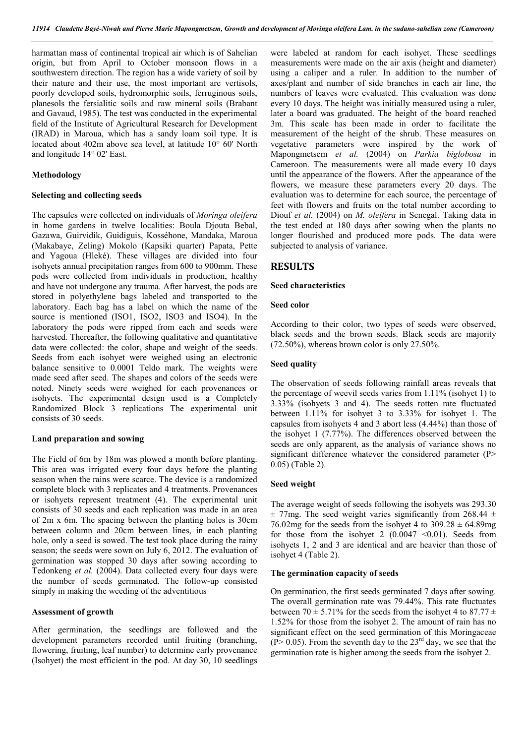harmattan mass of continental tropical air which is of Sahelian origin, but from April to October monsoon flows in a southwestern direction. The region has a wide variety of soil by their nature and their use, the most important are vertisols, poorly developed soils, hydromorphic soils, ferruginous soils, planesols the fersialitic soils and raw mineral soils (Brabant and Gavaud, 1985). The test was conducted in the experimental field of the Institute of Agricultural Research for Development (IRAD) in Maroua, which has a sandy loam soil type. It is located about 402m above sea level, at latitude 10° 60' North and longitude 14° 02' East.

### **Methodology**

#### **Selecting and collecting seeds**

The capsules were collected on individuals of *Moringa oleifera* in home gardens in twelve localities: Boula Djouta Bebal, Gazawa, Guirvidik, Guidiguis, Kosséhone, Mandaka, Maroua (Makabaye, Zeling) Mokolo (Kapsiki quarter) Papata, Pette and Yagoua (Hleké). These villages are divided into four isohyets annual precipitation ranges from 600 to 900mm. These pods were collected from individuals in production, healthy and have not undergone any trauma. After harvest, the pods are stored in polyethylene bags labeled and transported to the laboratory. Each bag has a label on which the name of the source is mentioned (ISO1, ISO2, ISO3 and ISO4). In the laboratory the pods were ripped from each and seeds were harvested. Thereafter, the following qualitative and quantitative data were collected: the color, shape and weight of the seeds. Seeds from each isohyet were weighed using an electronic balance sensitive to 0.0001 Teldo mark. The weights were made seed after seed. The shapes and colors of the seeds were noted. Ninety seeds were weighed for each provenances or isohyets. The experimental design used is a Completely Randomized Block 3 replications The experimental unit consists of 30 seeds.

### **Land preparation and sowing**

The Field of 6m by 18m was plowed a month before planting. This area was irrigated every four days before the planting season when the rains were scarce. The device is a randomized complete block with 3 replicates and 4 treatments. Provenances or isohyets represent treatment (4). The experimental unit consists of 30 seeds and each replication was made in an area of 2m x 6m. The spacing between the planting holes is 30cm between column and 20cm between lines, in each planting hole, only a seed is sowed. The test took place during the rainy season; the seeds were sown on July 6, 2012. The evaluation of germination was stopped 30 days after sowing according to Tedonkeng *et al.* (2004). Data collected every four days were the number of seeds germinated. The follow-up consisted simply in making the weeding of the adventitious

#### **Assessment of growth**

After germination, the seedlings are followed and the development parameters recorded until fruiting (branching, flowering, fruiting, leaf number) to determine early provenance (Isohyet) the most efficient in the pod. At day 30, 10 seedlings

were labeled at random for each isohyet. These seedlings measurements were made on the air axis (height and diameter) using a caliper and a ruler. In addition to the number of axes/plant and number of side branches in each air line, the numbers of leaves were evaluated. This evaluation was done every 10 days. The height was initially measured using a ruler, later a board was graduated. The height of the board reached 3m. This scale has been made in order to facilitate the measurement of the height of the shrub. These measures on vegetative parameters were inspired by the work of Mapongmetsem *et al.* (2004) on *Parkia biglobosa* in Cameroon. The measurements were all made every 10 days until the appearance of the flowers. After the appearance of the flowers, we measure these parameters every 20 days. The evaluation was to determine for each source, the percentage of feet with flowers and fruits on the total number according to Diouf *et al.* (2004) on *M. oleifera* in Senegal. Taking data in the test ended at 180 days after sowing when the plants no longer flourished and produced more pods. The data were subjected to analysis of variance.

### **RESULTS**

### **Seed characteristics**

### **Seed color**

According to their color, two types of seeds were observed, black seeds and the brown seeds. Black seeds are majority (72.50%), whereas brown color is only 27.50%.

### **Seed quality**

The observation of seeds following rainfall areas reveals that the percentage of weevil seeds varies from 1.11% (isohyet 1) to 3.33% (isohyets 3 and 4). The seeds rotten rate fluctuated between 1.11% for isohyet 3 to 3.33% for isohyet 1. The capsules from isohyets 4 and 3 abort less (4.44%) than those of the isohyet 1 (7.77%). The differences observed between the seeds are only apparent, as the analysis of variance shows no significant difference whatever the considered parameter (P> 0.05) (Table 2).

### **Seed weight**

The average weight of seeds following the isohyets was 293.30  $\pm$  77mg. The seed weight varies significantly from 268.44  $\pm$ 76.02mg for the seeds from the isohyet 4 to  $309.28 \pm 64.89$ mg for those from the isohyet 2  $(0.0047 \le 0.01)$ . Seeds from isohyets 1, 2 and 3 are identical and are heavier than those of isohyet 4 (Table 2).

### **The germination capacity of seeds**

On germination, the first seeds germinated 7 days after sowing. The overall germination rate was 79.44%. This rate fluctuates between 70  $\pm$  5.71% for the seeds from the isohyet 4 to 87.77  $\pm$ 1.52% for those from the isohyet 2. The amount of rain has no significant effect on the seed germination of this Moringaceae  $(P> 0.05)$ . From the seventh day to the 23<sup>rd</sup> day, we see that the germination rate is higher among the seeds from the isohyet 2.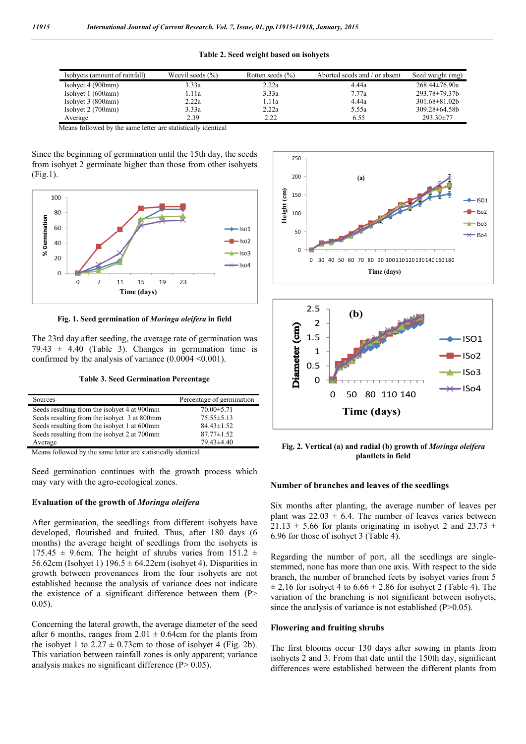|  |  | Table 2. Seed weight based on isohyets |
|--|--|----------------------------------------|
|  |  |                                        |

| Isohyets (amount of rainfall) | Weevil seeds $(\% )$ | Rotten seeds $(\% )$ | Aborted seeds and / or absent | Seed weight (mg)     |
|-------------------------------|----------------------|----------------------|-------------------------------|----------------------|
| Isohyet $4(900mm)$            | 3.33a                | 2.22a                | 4.44a                         | $268.44 \pm 76.90a$  |
| Isohyet $1(600mm)$            | 1.11a                | 3.33a                | 7.77a                         | $293.78 \pm 79.37 b$ |
| Isohyet $3(800mm)$            | 2.22a                | 1.11a                | 4.44a                         | $301.68 \pm 81.02b$  |
| Isohyet $2(700$ mm $)$        | 3.33a                | 2.22a                | 5.55a                         | $309.28 \pm 64.58 b$ |
| Average                       | 2.39                 | 2.22                 | 6.55                          | $293.30 \pm 77$      |

Means followed by the same letter are statistically identical

Since the beginning of germination until the 15th day, the seeds from isohyet 2 germinate higher than those from other isohyets (Fig.1).



**Fig. 1. Seed germination of** *Moringa oleifera* **in field**

The 23rd day after seeding, the average rate of germination was  $79.43 \pm 4.40$  (Table 3). Changes in germination time is confirmed by the analysis of variance  $(0.0004 \le 0.001)$ .

| Sources                                     | Percentage of germination |
|---------------------------------------------|---------------------------|
| Seeds resulting from the isohyet 4 at 900mm | $70.00 \pm 5.71$          |
| Seeds resulting from the isohyet 3 at 800mm | $75.55 \pm 5.13$          |
| Seeds resulting from the isohyet 1 at 600mm | $84.43 \pm 1.52$          |
| Seeds resulting from the isohyet 2 at 700mm | $87.77 \pm 1.52$          |
| Average                                     | $79.43\pm4.40$            |
|                                             |                           |

Means followed by the same letter are statistically identical

Seed germination continues with the growth process which may vary with the agro-ecological zones.

### **Evaluation of the growth of** *Moringa oleifera*

After germination, the seedlings from different isohyets have developed, flourished and fruited. Thus, after 180 days (6 months) the average height of seedlings from the isohyets is 175.45  $\pm$  9.6cm. The height of shrubs varies from 151.2  $\pm$ 56.62cm (Isohyet 1)  $196.5 \pm 64.22$ cm (isohyet 4). Disparities in growth between provenances from the four isohyets are not established because the analysis of variance does not indicate the existence of a significant difference between them (P> 0.05).

Concerning the lateral growth, the average diameter of the seed after 6 months, ranges from  $2.01 \pm 0.64$ cm for the plants from the isohyet 1 to  $2.27 \pm 0.73$ cm to those of isohyet 4 (Fig. 2b). This variation between rainfall zones is only apparent; variance analysis makes no significant difference  $(P> 0.05)$ .





**Fig. 2. Vertical (a) and radial (b) growth of** *Moringa oleifera* **plantlets in field**

#### **Number of branches and leaves of the seedlings**

Six months after planting, the average number of leaves per plant was  $22.03 \pm 6.4$ . The number of leaves varies between 21.13  $\pm$  5.66 for plants originating in isohyet 2 and 23.73  $\pm$ 6.96 for those of isohyet 3 (Table 4).

Regarding the number of port, all the seedlings are singlestemmed, none has more than one axis. With respect to the side branch, the number of branched feets by isohyet varies from 5  $\pm 2.16$  for isohyet 4 to  $6.66 \pm 2.86$  for isohyet 2 (Table 4). The variation of the branching is not significant between isohyets, since the analysis of variance is not established (P>0.05).

#### **Flowering and fruiting shrubs**

The first blooms occur 130 days after sowing in plants from isohyets 2 and 3. From that date until the 150th day, significant differences were established between the different plants from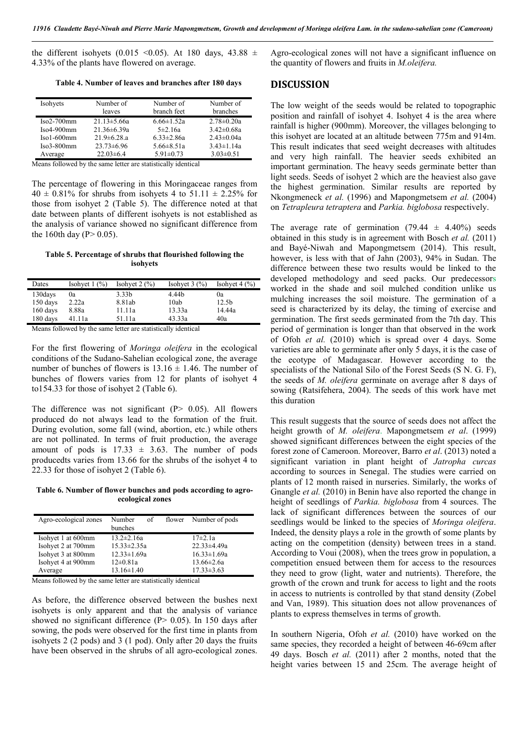the different isohyets (0.015 < 0.05). At 180 days, 43.88  $\pm$ 4.33% of the plants have flowered on average.

**Table 4. Number of leaves and branches after 180 days**

| Isohyets      | Number of          | Number of        | Number of        |
|---------------|--------------------|------------------|------------------|
|               | leaves             | branch feet      | branches         |
| $Iso2-700$ mm | $21.13 \pm 5.66a$  | $6.66 \pm 1.52a$ | $2.78 \pm 0.20a$ |
| $Iso4-900mm$  | $21.36 \pm 6.39a$  | $5\pm2.16a$      | $3.42 \pm 0.68a$ |
| $Isol-600mm$  | $21.9 \pm 6.28$ .a | $6.33 \pm 2.86a$ | $2.43 \pm 0.04a$ |
| $Iso3-800mm$  | $23.73\pm 6.96$    | $5.66 \pm 8.51a$ | $3.43 \pm 1.14a$ |
| Average       | $22.03\pm6.4$      | $5.91 \pm 0.73$  | $3.03 \pm 0.51$  |

Means followed by the same letter are statistically identical

The percentage of flowering in this Moringaceae ranges from  $40 \pm 0.81\%$  for shrubs from isohyets 4 to  $51.11 \pm 2.25\%$  for those from isohyet 2 (Table 5). The difference noted at that date between plants of different isohyets is not established as the analysis of variance showed no significant difference from the 160th day ( $P > 0.05$ ).

#### **Table 5. Percentage of shrubs that flourished following the isohyets**

| Dates      | Isohyet $1$ $\left(\frac{9}{0}\right)$ | Isohyet $2 \frac{9}{6}$ | Isohyet $3(%)$ | Isohyet $4 \frac{9}{6}$ |
|------------|----------------------------------------|-------------------------|----------------|-------------------------|
| 130days    | 0a                                     | 3.33b                   | 4.44b          | 0a                      |
| $150$ days | 2.22a                                  | 8.81ab                  | 10ab           | 12.5 <sub>b</sub>       |
| $160$ days | 8.88a                                  | 11.11a                  | 13.33a         | 14.44a                  |
| 180 days   | 41.11a                                 | 51.11a                  | 43.33a         | 40a                     |
| - --<br>__ | - -<br>___                             |                         | .<br>.         |                         |

Means followed by the same letter are statistically identical

For the first flowering of *Moringa oleifera* in the ecological conditions of the Sudano-Sahelian ecological zone, the average number of bunches of flowers is  $13.16 \pm 1.46$ . The number of bunches of flowers varies from 12 for plants of isohyet 4 to154.33 for those of isohyet 2 (Table 6).

The difference was not significant  $(P> 0.05)$ . All flowers produced do not always lead to the formation of the fruit. During evolution, some fall (wind, abortion, etc.) while others are not pollinated. In terms of fruit production, the average amount of pods is  $17.33 \pm 3.63$ . The number of pods producedts varies from 13.66 for the shrubs of the isohyet 4 to 22.33 for those of isohyet 2 (Table 6).

**Table 6. Number of flower bunches and pods according to agroecological zones**

| Agro-ecological zones | Number<br>of<br>bunches | flower | Number of pods    |
|-----------------------|-------------------------|--------|-------------------|
| Isohyet 1 at 600mm    | $13.2 \pm 2.16a$        |        | $17\pm2.1a$       |
| Isohyet 2 at 700mm    | $15.33 \pm 2.35a$       |        | $22.33 \pm 4.49a$ |
| Isohyet 3 at 800mm    | $12.33 \pm 1.69a$       |        | $16.33 \pm 1.69a$ |
| Isohyet 4 at 900mm    | $12 \pm 0.81a$          |        | $13.66 \pm 2.6a$  |
| Average               | $13.16 \pm 1.40$        |        | $17.33 \pm 3.63$  |

Means followed by the same letter are statistically identical

As before, the difference observed between the bushes next isohyets is only apparent and that the analysis of variance showed no significant difference  $(P> 0.05)$ . In 150 days after sowing, the pods were observed for the first time in plants from isohyets 2 (2 pods) and 3 (1 pod). Only after 20 days the fruits have been observed in the shrubs of all agro-ecological zones.

Agro-ecological zones will not have a significant influence on the quantity of flowers and fruits in *M.oleifera.*

### **DISCUSSION**

The low weight of the seeds would be related to topographic position and rainfall of isohyet 4. Isohyet 4 is the area where rainfall is higher (900mm). Moreover, the villages belonging to this isohyet are located at an altitude between 775m and 914m. This result indicates that seed weight decreases with altitudes and very high rainfall. The heavier seeds exhibited an important germination. The heavy seeds germinate better than light seeds. Seeds of isohyet 2 which are the heaviest also gave the highest germination. Similar results are reported by Nkongmeneck *et al.* (1996) and Mapongmetsem *et al.* (2004) on *Tetrapleura tetraptera* and *Parkia. biglobosa* respectively.

The average rate of germination  $(79.44 \pm 4.40\%)$  seeds obtained in this study is in agreement with Bosch *et al.* (2011) and Bayé-Niwah and Mapongmetsem (2014). This result, however, is less with that of Jahn (2003), 94% in Sudan. The difference between these two results would be linked to the developed methodology and seed packs. Our predecessors worked in the shade and soil mulched condition unlike us mulching increases the soil moisture. The germination of a seed is characterized by its delay, the timing of exercise and germination. The first seeds germinated from the 7th day. This period of germination is longer than that observed in the work of Ofoh *et al.* (2010) which is spread over 4 days. Some varieties are able to germinate after only 5 days, it is the case of the ecotype of Madagascar. However according to the specialists of the National Silo of the Forest Seeds (S N. G. F), the seeds of *M. oleifera* germinate on average after 8 days of sowing (Ratsifehera, 2004). The seeds of this work have met this duration

This result suggests that the source of seeds does not affect the height growth of *M. oleifera*. Mapongmetsem *et al*. (1999) showed significant differences between the eight species of the forest zone of Cameroon. Moreover, Barro *et al*. (2013) noted a significant variation in plant height of *Jatropha curcas* according to sources in Senegal. The studies were carried on plants of 12 month raised in nurseries. Similarly, the works of Gnangle *et al.* (2010) in Benin have also reported the change in height of seedlings of *Parkia. biglobosa* from 4 sources. The lack of significant differences between the sources of our seedlings would be linked to the species of *Moringa oleifera*. Indeed, the density plays a role in the growth of some plants by acting on the competition (density) between trees in a stand. According to Voui (2008), when the trees grow in population, a competition ensued between them for access to the resources they need to grow (light, water and nutrients). Therefore, the growth of the crown and trunk for access to light and the roots in access to nutrients is controlled by that stand density (Zobel and Van, 1989). This situation does not allow provenances of plants to express themselves in terms of growth.

In southern Nigeria, Ofoh *et al.* (2010) have worked on the same species, they recorded a height of between 46-69cm after 49 days. Bosch *et al.* (2011) after 2 months, noted that the height varies between 15 and 25cm. The average height of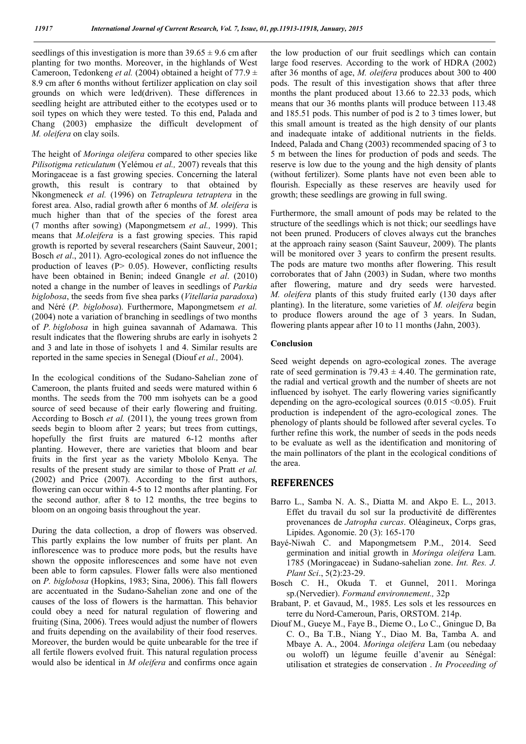seedlings of this investigation is more than  $39.65 \pm 9.6$  cm after planting for two months. Moreover, in the highlands of West Cameroon, Tedonkeng *et al.* (2004) obtained a height of 77.9  $\pm$ 8.9 cm after 6 months without fertilizer application on clay soil grounds on which were led(driven). These differences in seedling height are attributed either to the ecotypes used or to soil types on which they were tested. To this end, Palada and Chang (2003) emphasize the difficult development of *M. oleifera* on clay soils.

The height of *Moringa oleifera* compared to other species like *Pilisotigma reticulatum* (Yelémou *et al.,* 2007) reveals that this Moringaceae is a fast growing species. Concerning the lateral growth, this result is contrary to that obtained by Nkongmeneck *et al.* (1996) on *Tetrapleura tetraptera* in the forest area. Also, radial growth after 6 months of *M. oleifera* is much higher than that of the species of the forest area (7 months after sowing) (Mapongmetsem *et al.,* 1999). This means that *M.oleifera* is a fast growing species. This rapid growth is reported by several researchers (Saint Sauveur, 2001; Bosch *et al*., 2011). Agro-ecological zones do not influence the production of leaves ( $P > 0.05$ ). However, conflicting results have been obtained in Benin; indeed Gnangle *et al*. (2010) noted a change in the number of leaves in seedlings of *Parkia biglobosa*, the seeds from five shea parks (*Vitellaria paradoxa*) and Néré (*P. biglobosa*). Furthermore, Mapongmetsem *et al.* (2004) note a variation of branching in seedlings of two months of *P..biglobosa* in high guinea savannah of Adamawa. This result indicates that the flowering shrubs are early in isohyets 2 and 3 and late in those of isohyets 1 and 4. Similar results are reported in the same species in Senegal (Diouf *et al.,* 2004).

In the ecological conditions of the Sudano-Sahelian zone of Cameroon, the plants fruited and seeds were matured within 6 months. The seeds from the 700 mm isohyets can be a good source of seed because of their early flowering and fruiting. According to Bosch *et al.* (2011), the young trees grown from seeds begin to bloom after 2 years; but trees from cuttings, hopefully the first fruits are matured 6-12 months after planting. However, there are varieties that bloom and bear fruits in the first year as the variety Mbololo Kenya. The results of the present study are similar to those of Pratt *et al.* (2002) and Price (2007). According to the first authors, flowering can occur within 4-5 to 12 months after planting. For the second author, after 8 to 12 months, the tree begins to bloom on an ongoing basis throughout the year.

During the data collection, a drop of flowers was observed. This partly explains the low number of fruits per plant. An inflorescence was to produce more pods, but the results have shown the opposite inflorescences and some have not even been able to form capsules. Flower falls were also mentioned on *P. biglobosa* (Hopkins, 1983; Sina, 2006). This fall flowers are accentuated in the Sudano-Sahelian zone and one of the causes of the loss of flowers is the harmattan. This behavior could obey a need for natural regulation of flowering and fruiting (Sina, 2006). Trees would adjust the number of flowers and fruits depending on the availability of their food reserves. Moreover, the burden would be quite unbearable for the tree if all fertile flowers evolved fruit. This natural regulation process would also be identical in *M oleifera* and confirms once again the low production of our fruit seedlings which can contain large food reserves. According to the work of HDRA (2002) after 36 months of age, *M. oleifera* produces about 300 to 400 pods. The result of this investigation shows that after three months the plant produced about 13.66 to 22.33 pods, which means that our 36 months plants will produce between 113.48 and 185.51 pods. This number of pod is 2 to 3 times lower, but this small amount is treated as the high density of our plants and inadequate intake of additional nutrients in the fields. Indeed, Palada and Chang (2003) recommended spacing of 3 to 5 m between the lines for production of pods and seeds. The reserve is low due to the young and the high density of plants (without fertilizer). Some plants have not even been able to flourish. Especially as these reserves are heavily used for growth; these seedlings are growing in full swing.

Furthermore, the small amount of pods may be related to the structure of the seedlings which is not thick; our seedlings have not been pruned. Producers of cloves always cut the branches at the approach rainy season (Saint Sauveur, 2009). The plants will be monitored over 3 years to confirm the present results. The pods are mature two months after flowering. This result corroborates that of Jahn (2003) in Sudan, where two months after flowering, mature and dry seeds were harvested. *M. oleifera* plants of this study fruited early (130 days after planting). In the literature, some varieties of *M. oleifera* begin to produce flowers around the age of 3 years. In Sudan, flowering plants appear after 10 to 11 months (Jahn, 2003).

### **Conclusion**

Seed weight depends on agro-ecological zones. The average rate of seed germination is  $79.43 \pm 4.40$ . The germination rate, the radial and vertical growth and the number of sheets are not influenced by isohyet. The early flowering varies significantly depending on the agro-ecological sources  $(0.015 \le 0.05)$ . Fruit production is independent of the agro-ecological zones. The phenology of plants should be followed after several cycles. To further refine this work, the number of seeds in the pods needs to be evaluate as well as the identification and monitoring of the main pollinators of the plant in the ecological conditions of the area.

### **REFERENCES**

- Barro L., Samba N. A. S., Diatta M. and Akpo E. L., 2013. Effet du travail du sol sur la productivité de différentes provenances de *Jatropha curcas*. Oléagineux, Corps gras, Lipides. Agonomie. 20 (3): 165-170
- Bayé-Niwah C. and Mapongmetsem P.M., 2014. Seed germination and initial growth in *Moringa oleifera* Lam. 1785 (Moringaceae) in Sudano-sahelian zone. *Int. Res. J. Plant Sci*., 5(2):23-29.
- Bosch C. H., Okuda T. et Gunnel, 2011. Moringa sp.(Nervedier). *Formand environnement.,* 32p
- Brabant, P. et Gavaud, M., 1985. Les sols et les ressources en terre du Nord-Cameroun, Paris, ORSTOM. 214p.
- Diouf M., Gueye M., Faye B., Dieme O., Lo C., Gningue D, Ba C. O., Ba T.B., Niang Y., Diao M. Ba, Tamba A. and Mbaye A. A., 2004. *Moringa oleifera* Lam (ou nebedaay ou woloff) un légume feuille d'avenir au Sénégal: utilisation et strategies de conservation . *In Proceeding of*